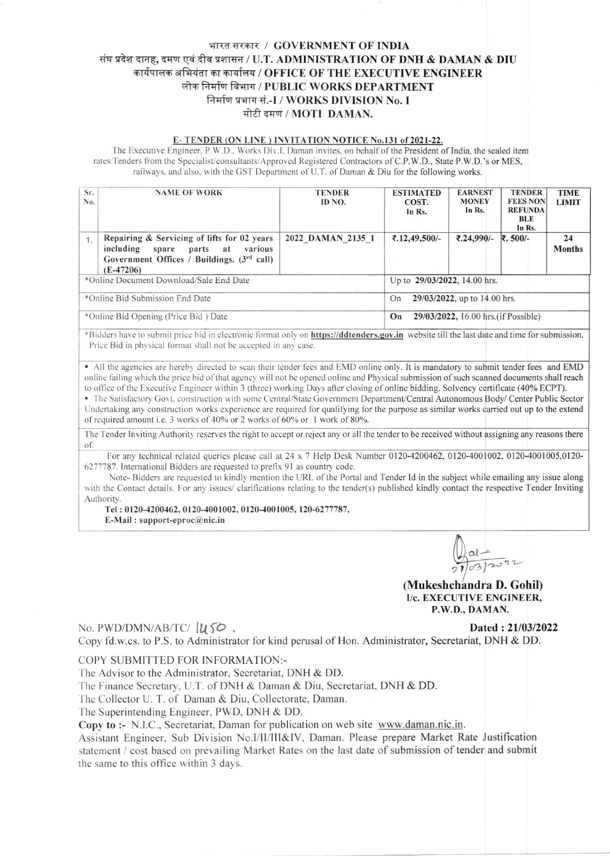# भारत सरकार / GOVERNMENT OF INDIA संघ प्रदेश दानह, दमण एवं दीव प्रशासन / U.T. ADMINISTRATION OF DNH & DAMAN & DIU कार्यपालक अभियंता का कार्यालय / OFFICE OF THE EXECUTIVE ENGINEER लोक निर्माण विभाग / PUBLIC WORKS DEPARTMENT निर्माण प्रभाग सं.-I / WORKS DIVISION No. I मोटी दमण / MOTI DAMAN.

#### E-TENDER (ON LINE) INVITATION NOTICE No.131 of 2021-22.

The Executive Engineer, P.W.D., Works Div.I, Daman invites, on behalf of the President of India, the sealed item rates Tenders from the Specialist/consultants/Approved Registered Contractors of C.P.W.D., State P.W.D.'s or MES, railways, and also, with the GST Department of U.T. of Daman & Diu for the following works.

| Sr.<br>No. | <b>NAME OF WORK</b>                                                                                                                               | <b>TENDER</b><br>ID NO.                    | <b>ESTIMATED</b><br>COST.<br>In Rs. | <b>EARNEST</b><br><b>MONEY</b><br>In Rs. | <b>TENDER</b><br><b>FEES NON</b><br><b>REFUNDA</b><br>BLE<br>In Rs. | <b>TIME</b><br><b>LIMIT</b> |  |
|------------|---------------------------------------------------------------------------------------------------------------------------------------------------|--------------------------------------------|-------------------------------------|------------------------------------------|---------------------------------------------------------------------|-----------------------------|--|
|            | Repairing & Servicing of lifts for 02 years<br>including spare<br>parts at various<br>Government Offices / Buildings. $(3rd$ call)<br>$(E-47206)$ | 2022 DAMAN 2135 1                          | ₹.12,49,500/-                       | ₹.24,990/-                               | ₹.500/-                                                             | 24<br><b>Months</b>         |  |
|            | *Online Document Download/Sale End Date                                                                                                           | Up to 29/03/2022, 14.00 hrs.               |                                     |                                          |                                                                     |                             |  |
|            | *Online Bid Submission End Date                                                                                                                   | 29/03/2022, up to 14.00 hrs.<br>On         |                                     |                                          |                                                                     |                             |  |
|            | *Online Bid Opening (Price Bid) Date                                                                                                              | 29/03/2022, 16.00 hrs. (if Possible)<br>On |                                     |                                          |                                                                     |                             |  |

\*Bidders have to submit price bid in electronic format only on https://ddtenders.gov.in website till the last date and time for submission. Price Bid in physical format shall not be accepted in any case.

. All the agencies are hereby directed to scan their tender fees and EMD online only. It is mandatory to submit tender fees and EMD online failing which the price bid of that agency will not be opened online and Physical submission of such scanned documents shall reach to office of the Executive Engineer within 3 (three) working Days after closing of online bidding. Solvency certificate (40% ECPT).

- The Satisfactory Govt. construction with some Central/State Government Department/Central Autonomous Body/Center Public Sector Undertaking any construction works experience are required for qualifying for the purpose as similar works carried out up to the extend of required amount i.e. 3 works of 40% or 2 works of 60% or 1 work of 80%.

The Tender Inviting Authority reserves the right to accept or reject any or all the tender to be received without assigning any reasons there of.

For any technical related queries please call at 24 x 7 Help Desk Number 0120-4200462, 0120-4001002, 0120-4001005,0120-6277787. International Bidders are requested to prefix 91 as country code.

Note-Bidders are requested to kindly mention the URL of the Portal and Tender Id in the subject while emailing any issue along with the Contact details. For any issues/ clarifications relating to the tender(s) published kindly contact the respective Tender Inviting Authority.

Tel: 0120-4200462, 0120-4001002, 0120-4001005, 120-6277787, E-Mail: support-eproc $@$ nic.in

(Mukeshchandra D. Gohil) I/c. EXECUTIVE ENGINEER, P.W.D., DAMAN.

# No. PWD/DMN/AB/TC/ $\mu$ 50,

Dated: 21/03/2022

Copy fd.w.cs. to P.S. to Administrator for kind perusal of Hon. Administrator, Secretariat, DNH & DD.

### COPY SUBMITTED FOR INFORMATION:-

The Advisor to the Administrator, Secretariat, DNH & DD.

The Finance Secretary, U.T. of DNH & Daman & Diu, Secretariat, DNH & DD.

The Collector U. T. of Daman & Diu, Collectorate, Daman.

The Superintending Engineer, PWD, DNH & DD.

Copy to :- N.I.C., Secretariat, Daman for publication on web site www.daman.nic.in.

Assistant Engineer, Sub Division No.I/II/III&IV, Daman. Please prepare Market Rate Justification statement / cost based on prevailing Market Rates on the last date of submission of tender and submit the same to this office within 3 days.